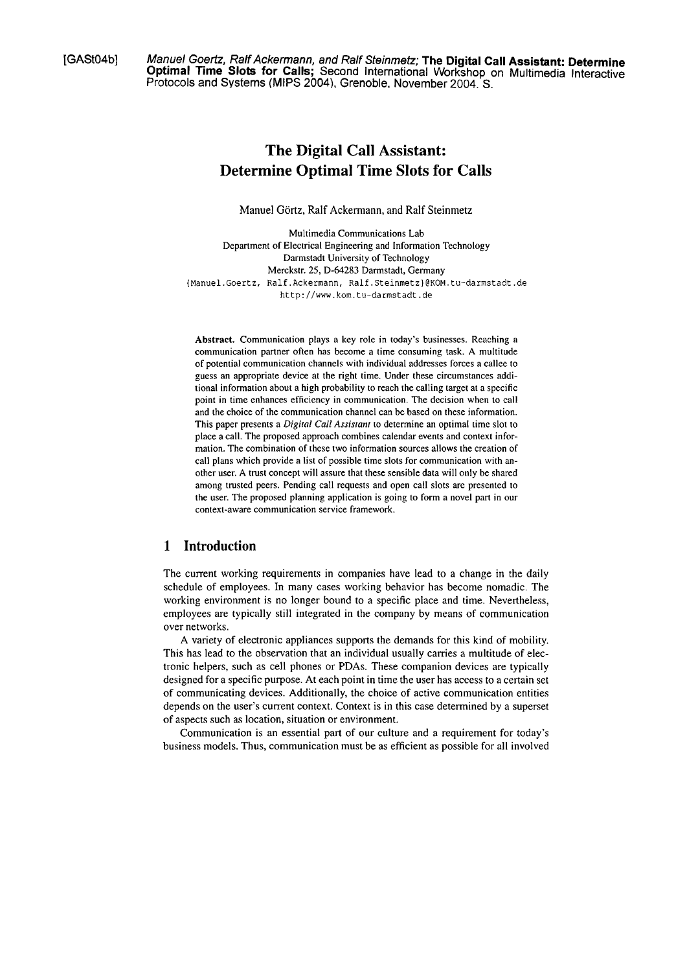[GASt04b] Manuel Goertz, Ralf Ackennann, and Ralf Steinmetz; **The Digital Call Assistant: Determine Optimal Time Slots for Calls;** Second International Workshop on Multimedia lnteractive Protocols and Systems (MIPS 2004), Grenoble, November 2004. S.

# **The Digital Call Assistant: Determine Optimal Time Slots for Calls**

Manuel Görtz, Ralf Ackermann, and Ralf Steinmetz

Multimedia Communications Lab Department of Electrical Engineering and Information Technology Darmstadt University of Technology Merckstr. 25, D-64283 Darmstadt, Germany **(Manuel.Goertz, Ralf.Ackerrnann, Ralf.Steinrnetz)@KOM.tu-darrnstadt.de http://www.korn.tu-darrnstadt.de** 

**Abstract.** Communication plays a key role in today's businesses. Reaching a communication partner often has become a time consuming task. A multitude of potential communication channels with individual addresses forces a callee to guess an appropriate device at the right time. Under these circumstances additional information about a high probability to reach the calling target at a specific point in time enhances efficiency in communication. The decision when to call and the choice of the communication channel can be based on these information. This paper presents a *Digital Ca11 Assisiant* to determine an optimal time slot to place a call. The proposed approach combines calendar events and context information. The combination of these two information sources allows the creation of call plans which provide a list of possible time slots for communication with another user. A trust concept will assure that these sensible data will only be shared among trusted peers. Pending call requests and open call slots are presented to the user. The proposed planning application is going to form a novel part in our context-aware communication service framework.

## **1 Introduction**

The current working requirements in cornpanies have lead to a change in the daily schedule of ernployees. In rnany cases working behavior has becorne nornadic. The working environment is no longer bound to a specific place and time. Nevertheless, employees are typically still integrated in the company by means of communication over networks.

A variety of electronic appliances supports the demands for this kind of mobility. This has lead to the observation that an individual usually carries a multitude of electronic helpers, such as cell phones or PDAs. These cornpanion devices are typically designed for a specific purpose. At each point in time the user has access to a certain set of cornrnunicating devices. Additionally, the choice of active cornrnunication entities depends on the user's current context. Context is in this case determined by a superset of aspects such as location, situation or environment.

Communication is an essential part of our culture and a requirement for today's business models. Thus, communication must be as efficient as possible for all involved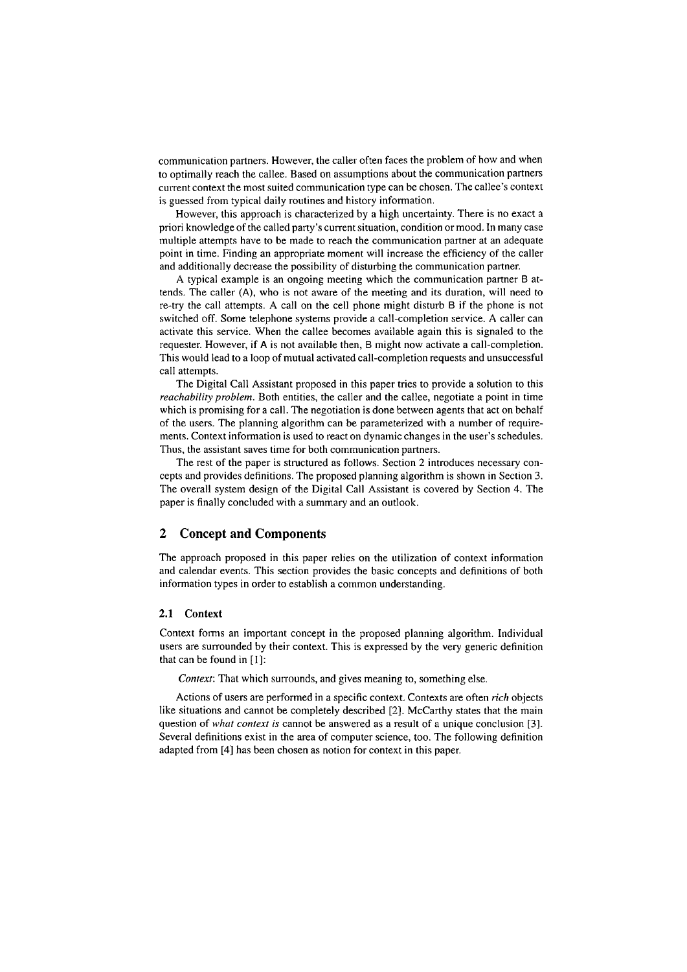communication partners. However, the caller often faces the problem of how and when to optirnally reach the callee. Based on assurnptions about the cornrnunication partners current context the rnost suited communication type can be chosen. The callee's context is guessed from typical daily routines and history information.

However, this approach is characterized by a high uncertainty. There is no exact a priori knowledge of the called party's current situation, condition or mood. In many case multiple attempts have to be made to reach the communication partner at an adequate point in time. Finding an appropriate mornent will increase the efficiency of the caller and additionally decrease the possibility of disturbing the communication partner.

A typical example is an ongoing meeting which the communication partner B attends. The caller (A), who is not aware of the meeting and its duration, will need to re-try the call atternpts. A call on the cell phone rnight disturb B if the phone is not switched off. Sorne telephone systerns provide a call-completion service. A caller can activate this service. When the callee becornes available again this is signaled to the requester. However, if **A** is not available then, B rnight now activate a call-completion. This would lead to a loop of mutual activated call-cornpletion requests and unsuccessful call attempts.

The Digital Call Assistant proposed in this paper tries to provide a solution to this *reachability problem.* Both entities, the caller and the callee, negotiate a point in time which is promising for a call. The negotiation is done between agents that act on behalf of the users. The planning algorithm can be parameterized with a number of requirements. Context information is used to react on dynamic changes in the user's schedules. Thus, the assistant saves time for both communication partners.

The rest of the paper is structured as follows. Section 2 introduces necessary concepts and provides definitions. The proposed planning algorithm is shown in Section **3.**  The overall systern design of the Digital Call Assistant is covered by Section 4. The paper is finally concluded with a summary and an outlook.

### **2 Concept and Components**

The approach proposed in this paper relies on the utilization of context information and calendar events. This section provides the basic concepts and definitions of both information types in order to establish a cornmon understanding.

#### **2.1 Context**

Context forms an important concept in the proposed planning algorithm. Individual users are surrounded by their context. This is expressed by the very generic definition that can be found in [I]:

*Context:* That which surrounds, and gives meaning to, something else.

Actions of users are perforrned in a specific context. Contexts are often *rich* objects like situations and cannot be completely described [2]. McCarthy states that the main question of *whut context is* cannot be answered as a result of a unique conclusion [3]. Several definitions exist in the area of computer science, too. The following definition adapted from [4] has been chosen as notion for context in this paper.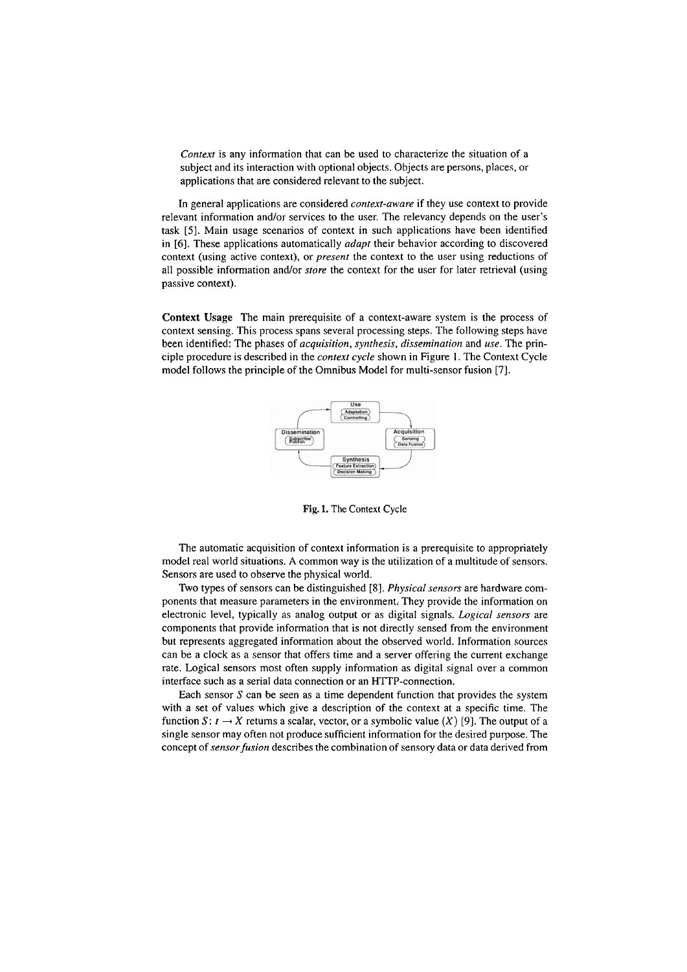*Context* is any information that can be used to characterize the situation of a subject and its interaction with optional objects. Objects are persons, places, or applications that are considered relevant to the subject.

In general applications are considered *context-aware* if they use context to provide relevant information and/or services to the user. The relevancy depends on the user's task **[5].** Main usage scenarios of context in such applications have been identified in *[6].* These applications automatically *adapt* their behavior according to discovered context (using active context), or *present* the context to the User using reductions of all possible information and/or *store* the context for the user for later retrieval (using passive context).

**Context** Usage The main prerequisite of a context-aware system is the process of context sensing. This process spans several processing steps. The following steps have been identified: The phases of *acquisition, synthesis, dissemination* and *use.* The principle procedure is described in the *context cycle* shown in Figure I. The Context Cycle model follows the principle of the Omnibus Model for multi-sensor fusion [7].



**Fig. 1.** The **Context** Cycle

The automatic acquisition of context information is a prerequisite to appropriately model real world situations. **A** common way is the utilization of a multitude of sensors. Sensors are used to observe the physical world.

Two types of sensors can be distinguished [8]. *Physical sensors* are hardware components that measure parameters in the environment. They provide the information on electronic level, typically as analog output or as digital signals. *Logical sensors* are components that provide information that is not directly sensed from the environment but represents aggregated information about the observed world. Information sources can be a clock as a sensor that offers time and a server offering the current exchange rate. Logical sensors most often supply information as digital signal over a common interface such as a serial data connection or an HTTP-connection.

Each sensor  $S$  can be seen as a time dependent function that provides the system with a set of values which give a description of the context at a specific time. The function  $S: t \to X$  returns a scalar, vector, or a symbolic value  $(X)$  [9]. The output of a single sensor may often not produce sufficient information for the desired puipose. The concept of *sensor fusion* describes the combination of sensory data or data derived from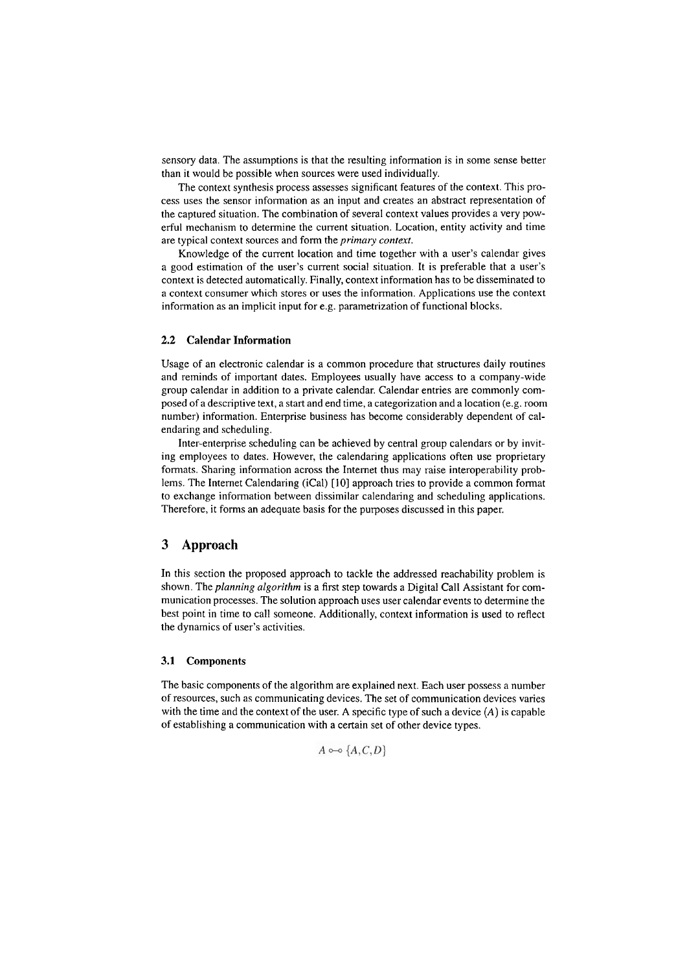serisory data. The assumptions is that the resulting information is in some sense better than it would be possible when sources were used individually.

The context synthesis process assesses significant features of the context. This process uses the sensor information as an input and creates an abstract representation of the captured situation. The combination of several context values provides a very powerful mechanism to determine the current situation. Location, entity activity and time are typical context sources and form the *primary context*.

Knowledge of the current location and time together with a user's calendar gives a good estirnation of the user's current social situation. It is preferable that a user's context is detected automatically. Finally, context information has to be disseminated to a context consurner which stores or uses the information. Applications use the context information as an implicit input for e.g. parametrization of functional blocks.

#### **2.2 Calendar Information**

Usage of an electronic calendar is a common procedure that stiuctures daily routines and reminds of iinportant dates. Employees usually have access to a company-wide group calendar in addition to a private calendar. Calendar entries are commonly composed of a descriptive text, a start and end time, a categorization and a location (e.g. room number) information. Enterprise business has become considerably dependent of calendaring and scheduling.

Inter-enterprise scheduling can be achieved by central group calendars or by inviting employees to dates. However, the calendaring applications often use proprietary formats. Sharing information across the Internet thus may raise interoperability problems. The Internet Calendaring (iCal) [I01 approach tries to provide a common format to exchange information between dissirnilar calendaiing and scheduling applications. Therefore, it forms an adequate basis for the purposes discussed in this paper.

### **3 Approach**

In this section the proposed approach to tackle the addressed reachability problem is shown. The *planning algorithm* is a first step towards a Digital Call Assistant for communication processes. The solution approach uses user calendar events to determine the best point in time to call someone. Additionally, context information is used to reflect the dynamics of user's activities.

#### **3.1 Components**

The basic components of the algorithm are explained next. Each user possess a number of resources, such as communicating devices. The Set of comrnunication devices varies with the time and the context of the user. **A** specific type of such a device *(A)* is capable of establishing a communication with a certain set of other device types.

 $A \circ \circ \{A, C, D\}$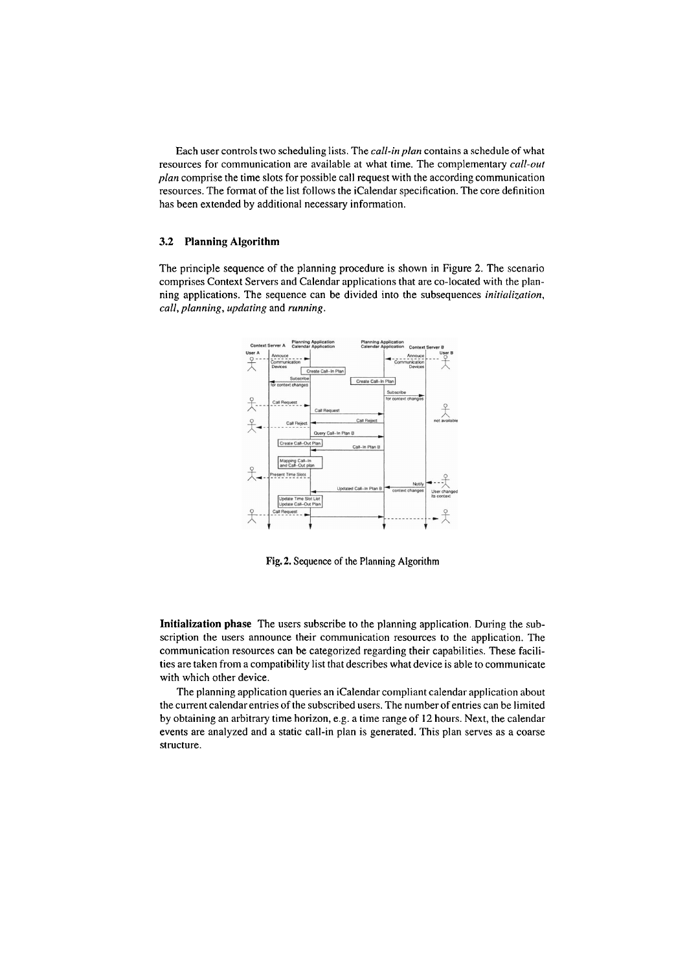Each user controls two scheduling lists. The *call-in plan* contains a scliedule of what resources for communication are available at what time. The complementary *call-out plan* compiise the time slots for possible call request with the according communication resources. The format of the list follows the iCalendar specification. The core definition has been extended by additional necessary information.

#### **3.2 Planning Algorithm**

The principle sequence of the planning procedure is shown in Figure 2. The scenario comprises Context Servers and Calendar applications that are CO-located with the planning applications. The sequence can be divided into the subsequences *initialization, call, planning, upduting* and *running.* 



**Fig.** 2. Sequence of the Planning Algorithm

**Initialization phase** The users subscribe to the planning application. During the subscription the users announce their comrnunication resources to the application. The communication resources can be categorized regarding their capabilities. These facilities are taken from a compatibility list that describes what device is able to communicate with which other device.

The planning application queries an iCalendar compliant calendar application about the current calendarentries of the subscribed users. The numberof entries can be limited by obtaining an arbitrary time horizon, e.g. a time range of 12 hours. Next, the calendar events are analyzed and a static call-in plan is generated. This plan serves as a coarse structure.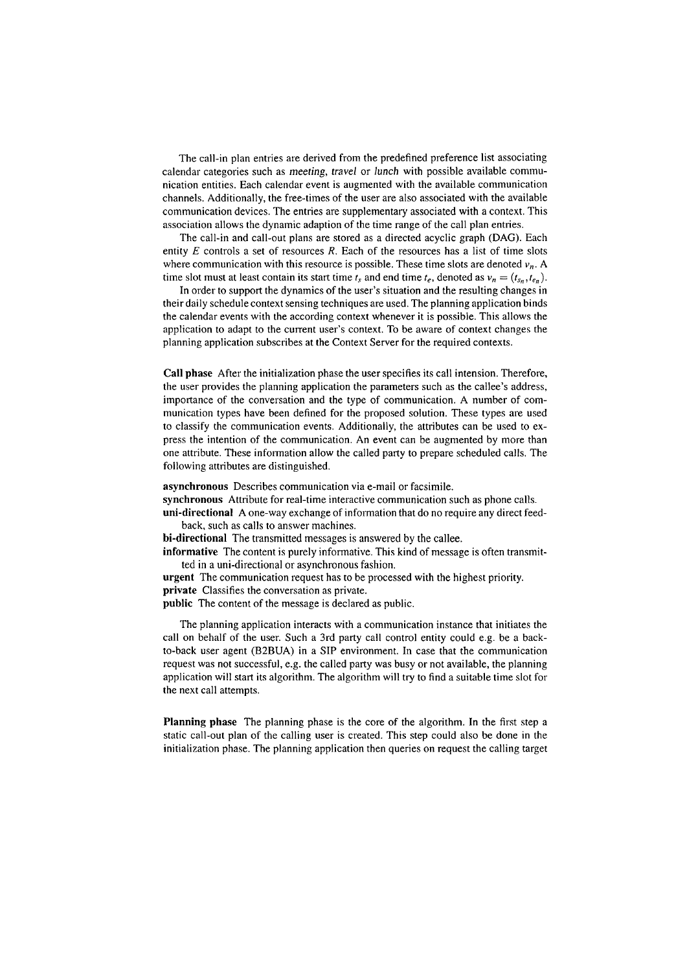The call-in plan entries are derived from the predefined preference list associating calendar categories such as meeting, travel or lunch with possible available communication entities. Each calendar event is augmented with the available communication channels. Additionally, the free-tiines of the User are also associated with the available conimunication devices. The entries are supplementary associated with a context. This association allows the dynamic adaption of the time range of the call plan entries.

The call-in and call-out plans are stored as a directed acyclic graph (DAG). Each entity  $E$  controls a set of resources  $R$ . Each of the resources has a list of time slots where communication with this resource is possible. These time slots are denoted  $v_n$ . A time slot must at least contain its start time  $t_s$  and end time  $t_e$ , denoted as  $v_n = (t_{s_n}, t_{e_n})$ .

In order to support the dynamics of the user's situation and the resulting changes in their daily schedule context sensing techniques are used. The planning application binds the calendar events with the according context whenever it is possible. This allows the application to adapt to the current user's context. To be aware of context changes the planning application subscribes at the Context Server for the required contexts.

**Call phase** After the initialization phase the User specifies its call intension. Therefore, the user provides the planning application the Parameters such as the callee's address, importance of the conversation and the type of communication. A number of communication types have been defined for the proposed solution. These types are used to classify the comrnunication events. Additionally, the attributes can be used to express the intention of the communication. An event can be auginented by more than one attribute. These information allow the called party to prepare scheduled calls. The following attributes are distinguished.

**asynchronous** Describes communication via e-mail or facsimile.

**synchronous** Attribute for real-time interactive communication such as phone calls.

**uni-directional** A one-way exchange of information that do no require any direct feedback, such as calls to answer machines.

**bi-directional** The transmitted messages is answered by the callee.

**informative** The content is purely informative. This kind of message is often transmitted in a uni-directional or asynchronous fashion.

**urgent** The communication request has to be processed with the highest priority. **private** Classifies the conversation as private.

**public** The content of the message is declared as public.

The planning application interacts with a communication instance that initiates the call on behalf of the user. Such a 3rd party call control entity could e.g. be a backto-back User agent **(B2BUA)** in a SIP environment. In case that the communication request was not successful, e.g. the called party was busy or not available, the planning application will start its algorithm. The algorithm will try to find a suitable time slot for the next call attempts.

**Planning phase** The planning phase is the core of the algorithm. In the first step a static call-out plan of the calling user is created. This step could also be done in the initialization phase. The planning application then queries on request the calling target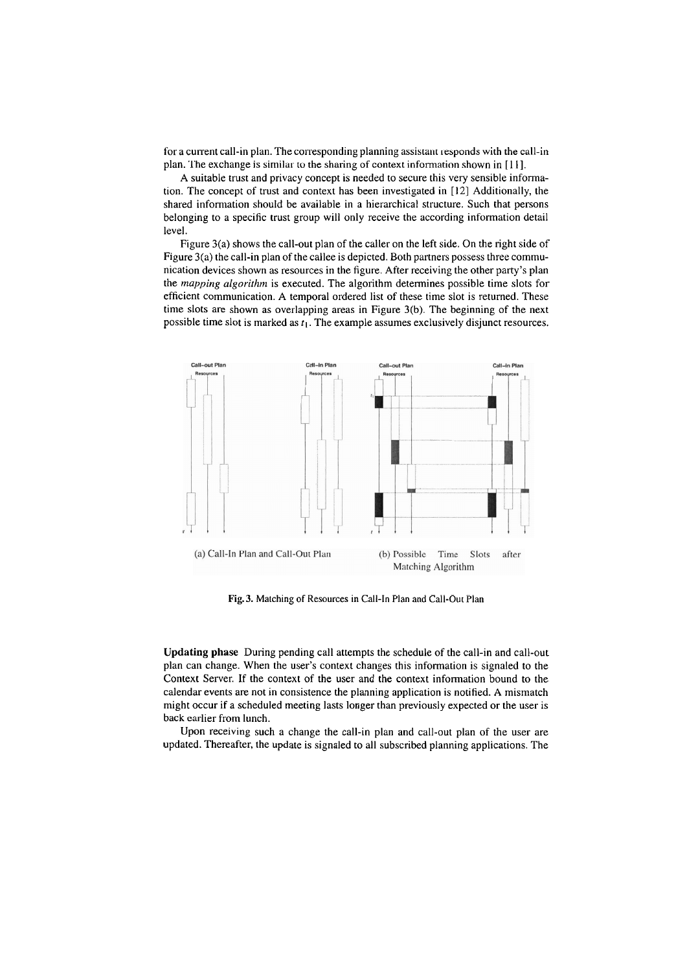plan. The exchange is similar to the sharing of context information shown in [11]. for a current call-in plan. The corresponding planning assistant responds with the call-in

level. belonging to a specific trust group will only receive the according information detail shared information should be available in a hierarchical structure. Such that persons tion. The concept of trust and context has been investigated in  $[12]$  Additionally, the A suitable trust and privacy concept is needed to secure this very sensible informa-

possible time slot is marked as  $t_1$ . The example assumes exclusively disjunct resources. time slots are shown as overlapping areas in Figure  $3(b)$ . The beginning of the next efficient communication. A temporal ordered list of these time slot is returned. These the *mapping algorithm* is executed. The algorithm determines possible time slots for nication devices shown as resources in the figure. After receiving the other party's plan Figure  $3(a)$  the call-in plan of the callee is depicted. Both partners possess three commu-Figure  $3(a)$  shows the call-out plan of the caller on the left side. On the right side of



**Fig. 3.** Matching of Resources in Call-In Plan and Call-Out Plan

back earlier from lunch. might occur if a scheduled meeting lasts longer than previously expected or the user is calendar events are not in consistence the planning application is notified. A mismatch Context Server. If the context of the user and the context information bound to the plan can change. When the user's context changes this information is signaled to the **8Updating phase** During pending call attempts the schedule of the call-in and call-out

updated. Thereafter, the update is signaled to all subscribed planning applications. The Upon receiving such a change the call-in plan and call-out plan of the user are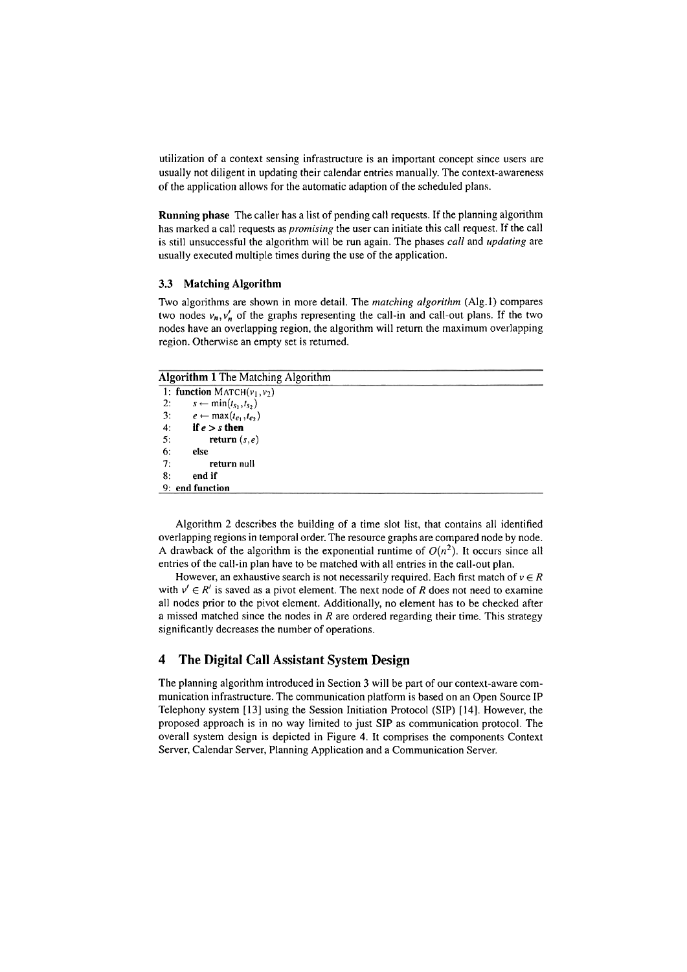utilization of a context sensing infrastructure is an important concept since users are usually not diligent in updating their calendar entries manually. The context-awareness of the application allows for the automatic adaption of the scheduled plans.

**Running phase** The caller has a list of pending call requests. If the planning algorithm has marked a call requests as *promising* the user can initiate this call request. If the call is still unsuccessful the algorithm will be run again. The phases *call* and *updating* are usually executed multiple times during the use of the application.

#### **3.3 Matching Algorithm**

Two algorithms are shown in more detail. The *matching algorithm* (Alg. 1) compares two nodes  $v_n$ ,  $v'_n$  of the graphs representing the call-in and call-out plans. If the two nodes have an overlapping region, the algorithm will return the maximum overlapping region. Otherwise an empty set is returned.

### **Algorithm 1** The Matching Algorithm

|    | 1: function MATCH( $v_1, v_2$ )          |  |  |
|----|------------------------------------------|--|--|
| 2: | $s \leftarrow \min(t_{s_1}, t_{s_2})$    |  |  |
|    | 3: $e \leftarrow \max(t_{e_1}, t_{e_2})$ |  |  |
| 4: | if $e > s$ then                          |  |  |
| 5: | return $(s,e)$                           |  |  |
| 6: | else                                     |  |  |
| 7: | return null                              |  |  |
| 8: | end if                                   |  |  |
|    | 9: end function                          |  |  |
|    |                                          |  |  |

Algorithm 2 describes the building of a time slot list, that contains all identified overlapping regions in temporal order. The resource graphs are compared node by node. A drawback of the algorithm is the exponential runtime of  $O(n^2)$ . It occurs since all entries of the call-in plan have to be matched with all entries in the call-out plan.

However, an exhaustive search is not necessarily required. Each first match of  $v \in R$ with  $v' \in R'$  is saved as a pivot element. The next node of R does not need to examine all nodes prior to the pivot element. Additionally, no element has to be checked after a missed matched since the nodes in R are ordered regarding their time. This strategy significantly decreases the number of operations.

### **4 The Digital Ca11 Assistant System Design**

The planning algoiithm introduced in Section **3** will be part of our context-aware communication infrastructure. The communication platfonn is based on an Open Source IP Telephony System **[I31** using the Session Initiation Protocol (SIP) [14]. However, the proposed approach is in no way limited to just SIP as communication protocol. The overall system design is depicted in Figure 4. It comprises the components Context Server, Calendar Server, Planning Application and a Communication Server.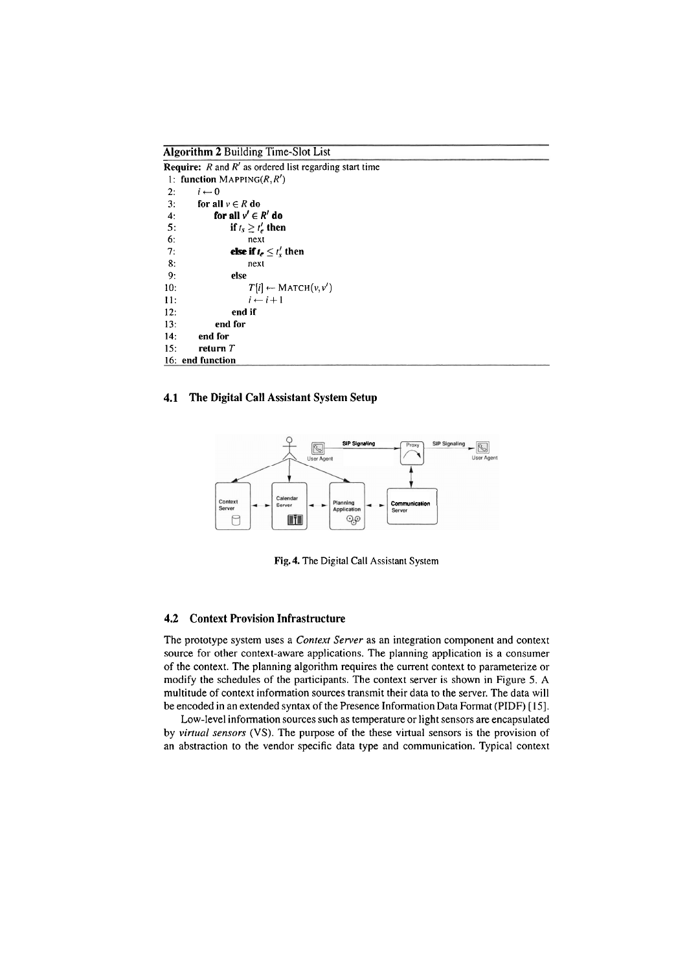**Algorithm 2 Building Time-Slot List** 

| <b>Require:</b> $R$ and $R'$ as ordered list regarding start time |                                       |  |
|-------------------------------------------------------------------|---------------------------------------|--|
|                                                                   | 1: function MAPPING( $R, R'$ )        |  |
| 2:                                                                | $i \leftarrow 0$                      |  |
| 3:                                                                | for all $v \in R$ do                  |  |
| 4:                                                                | for all $v' \in R'$ do                |  |
| 5:                                                                | if $t_s \geq t'_e$ then               |  |
| 6:                                                                | next                                  |  |
| 7:                                                                | else if $t_e \leq t_s'$ then          |  |
| 8:                                                                | next                                  |  |
| 9:                                                                | else                                  |  |
| 10:                                                               | $T[i] \leftarrow \text{MATCH}(v, v')$ |  |
| 11:                                                               | $i \leftarrow i+1$                    |  |
| 12:                                                               | end if                                |  |
| 13:                                                               | end for                               |  |
| 14:                                                               | end for                               |  |
| 15:                                                               | return $T$                            |  |
|                                                                   | 16: end function                      |  |

### **4.1 The Digital Call Assistant System Setup**



**Fig.4.** The Digital Call Assistant System

#### **4.2 Context Provision Infrastructure**

The prototype system uses a *Context Server* as an integration component and context source for other context-aware applications. The planning application is a consumer of the context. The planning algorithm requires the current context to parameteiize or modify the schedules of the participants. The context server is shown in Figure 5. A multitude of context information sources transmit their data to the server. The data will be encoded in an extended syntax of the Presence Information Data Format (PIDF) [15].

Low-level infonnation sources such as temperature or light sensors are encapsulated by *virtual sensors* (VS). The purpose of the these virtual sensors is the provision of an abstraction to the vendor specific data type and communication. Typical context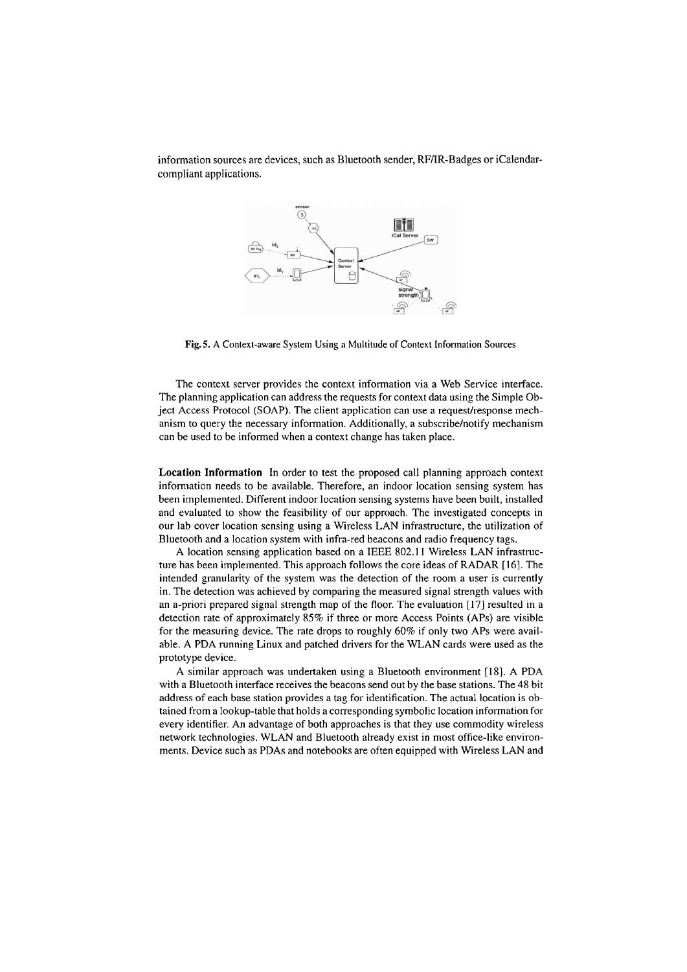information sources are devices, such as Bluetooth sender, RF/IR-Badges or iCalendarcompliant applications.



**Fig.** 5. A Context-aware System Using a Multitude of Context Information Sources

The context server provides the context information via a Web Service interface. The planning application can address the requests for context data using the Simple Object Access Protocol (SOAP). The client application can use a request/response mechanism to query the necessary information. Additionally, a subscribe/notify mechanism can be used to be informed when a context change has taken place.

*Location Information* In order to test the proposed call planning approach context information needs to be available. Therefore, an indoor location sensing system has been implernented. Different indoor location sensing Systems have been built, installed and evaluated to show the feasibility of our approach. The investigated concepts in our lab Cover location sensing using a Wireless LAN infrastructure, the utilization of Bluetooth and a location systern with infra-red beacons and radio frequency tags.

A location sensing application based on a IEEE 802.1 **1** Wireless LAN infrastructure has been implernented. This approach follows the core ideas of RADAR [16]. The intended granularity of the system was the detection of the room a user is currently in. The detection was achieved by comparing the measured signal strength values with an a-priori prepared signal strength map of the floor. The evaluation [17] resulted in a detection rate of approximately 85% if three or more Access Points (APs) are visible for the measuring device. The rate drops to roughly 60% if only two APs were available. A PDA running Linux and patched drivers for the WLAN cards were used as the prototype device.

A similar approach was undertaken using a Bluetooth environment [18]. A PDA with a Bluetooth interface receives the beacons send out by the base stations. The 48 bit address of each base station provides a tag for identification. The actual location is obtained from a lookup-table that holds a corresponding symbolic location information for every identifier. An advantage of both approaches is that they use commodity wireless network technologies. WLAN and Bluetooth already exist in rnost office-like environments. Device such as PDAs and notebooks are often equipped with Wireless LAN and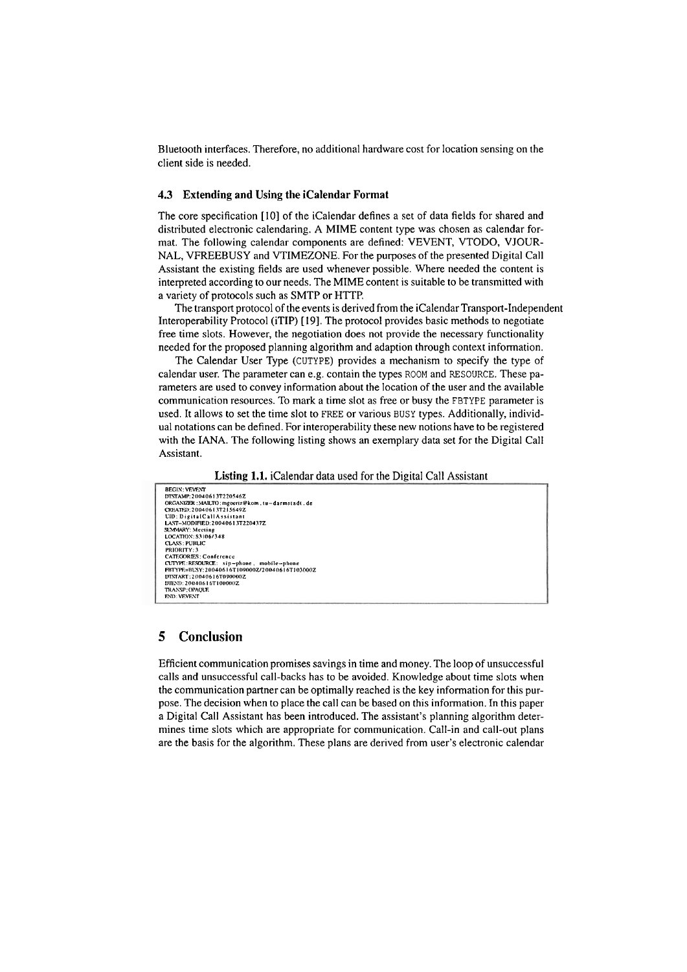Bluetooth interfaces. Therefore, no additional hardware cost for location sensing on the client side is needed.

### **4.3 Extending and Using the icalendar Format**

The core specification [10] of the iCalendar defines a set of data fields for shared and distributed electronic calendaring. A MIME content type was chosen as calendar format. The following calendar components are defined: VEVENT, VTODO, VJOUR-NAL, VFREEBUSY and VTIMEZONE. For the purposes of the presented Digital Call Assistant the existing fields are used whenever possible. Where needed the content is interpreted according to our needs. The MIME content is suitable to be transmitted with a variety of protocols such as SMTP or HTTP.

The transport protocol of the events is derived from the icalendar Transport-Independent Interoperability Protocol (iTIP) [19]. The protocol provides basic methods to negotiate free time slots. However, the negotiation does not provide the necessary functionality needed for the proposed planning algorithm and adaption through context infomation.

The Calendar User Type (CUTYPE) provides a mechanism to specify the type of calendar User. The parameter can e.g. contain the types ROOM and RESOURCE. These parameters are used to convey information about the location of the user and the available communication resources. To mark a time slot as free or busy the FBTYPE parameter is used. It allows to set the time slot to FREE or various BUSY types. Additionally, individual notations can be defined. For interoperability these new notions have to be registered with the IANA. The following listing shows an exemplary data set for the Digital Call Assistant.

#### **Listing 1.1.** icalendar data used for the Digital Call Assistant



### **5 Conclusion**

Efficient communication promises savings in time and money. The loop of unsuccessful calls and unsuccessful call-backs has to be avoided. Knowledge about time slots when the communication partner can be optimally reached is the key information for this purpose. The decision when to place the call can be based on this information. In this paper a Digital Call Assistant has been introduced. The assistant's planning algorithm determines time slots which are appropriate for communication. Call-in and call-out plans are the basis for the algorithm. These plans are derived from user's electronic calendar